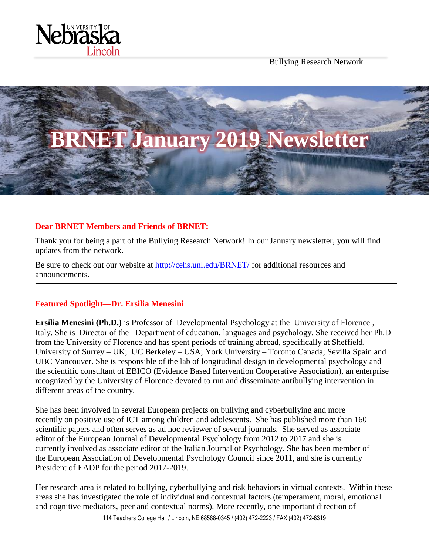

Bullying Research Network



# **Dear BRNET Members and Friends of BRNET:**

Thank you for being a part of the Bullying Research Network! In our January newsletter, you will find updates from the network.

Be sure to check out our website at<http://cehs.unl.edu/BRNET/> for additional resources and announcements.

## **Featured Spotlight—Dr. Ersilia Menesini**

**Ersilia Menesini (Ph.D.)** is Professor of Developmental Psychology at the University of Florence , Italy. She is Director of the Department of education, languages and psychology. She received her Ph.D from the University of Florence and has spent periods of training abroad, specifically at Sheffield, University of Surrey – UK; UC Berkeley – USA; York University – Toronto Canada; Sevilla Spain and UBC Vancouver. She is responsible of the lab of longitudinal design in developmental psychology and the scientific consultant of EBICO (Evidence Based Intervention Cooperative Association), an enterprise recognized by the University of Florence devoted to run and disseminate antibullying intervention in different areas of the country.

She has been involved in several European projects on bullying and cyberbullying and more recently on positive use of ICT among children and adolescents. She has published more than 160 scientific papers and often serves as ad hoc reviewer of several journals. She served as associate editor of the European Journal of Developmental Psychology from 2012 to 2017 and she is currently involved as associate editor of the Italian Journal of Psychology. She has been member of the European Association of Developmental Psychology Council since 2011, and she is currently President of EADP for the period 2017-2019.

Her research area is related to bullying, cyberbullying and risk behaviors in virtual contexts. Within these areas she has investigated the role of individual and contextual factors (temperament, moral, emotional and cognitive mediators, peer and contextual norms). More recently, one important direction of

114 Teachers College Hall / Lincoln, NE 68588-0345 / (402) 472-2223 / FAX (402) 472-8319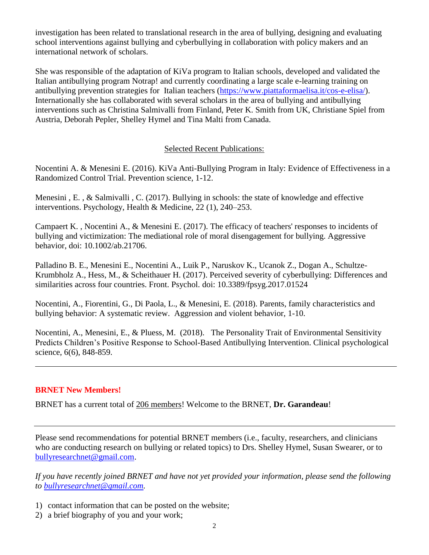investigation has been related to translational research in the area of bullying, designing and evaluating school interventions against bullying and cyberbullying in collaboration with policy makers and an international network of scholars.

She was responsible of the adaptation of KiVa program to Italian schools, developed and validated the Italian antibullying program Notrap! and currently coordinating a large scale e-learning training on antibullying prevention strategies for Italian teachers [\(https://www.piattaformaelisa.it/cos-e-elisa/\)](https://www.piattaformaelisa.it/cos-e-elisa/). Internationally she has collaborated with several scholars in the area of bullying and antibullying interventions such as Christina Salmivalli from Finland, Peter K. Smith from UK, Christiane Spiel from Austria, Deborah Pepler, Shelley Hymel and Tina Malti from Canada.

# Selected Recent Publications:

Nocentini A. & Menesini E. (2016). KiVa Anti-Bullying Program in Italy: Evidence of Effectiveness in a Randomized Control Trial. Prevention science, 1-12.

Menesini , E. , & Salmivalli , C. (2017). Bullying in schools: the state of knowledge and effective interventions. Psychology, Health & Medicine, 22 (1), 240–253.

Campaert K. , Nocentini A., & Menesini E. (2017). The efficacy of teachers' responses to incidents of bullying and victimization: The mediational role of moral disengagement for bullying. Aggressive behavior, doi: 10.1002/ab.21706.

Palladino B. E., Menesini E., Nocentini A., Luik P., Naruskov K., Ucanok Z., Dogan A., Schultze-Krumbholz A., Hess, M., & Scheithauer H. (2017). Perceived severity of cyberbullying: Differences and similarities across four countries. Front. Psychol. doi: 10.3389/fpsyg.2017.01524

Nocentini, A., Fiorentini, G., Di Paola, L., & Menesini, E. (2018). Parents, family characteristics and bullying behavior: A systematic review. Aggression and violent behavior, 1-10.

Nocentini, A., Menesini, E., & Pluess, M. (2018). The Personality Trait of Environmental Sensitivity Predicts Children's Positive Response to School-Based Antibullying Intervention. Clinical psychological science, 6(6), 848-859.

## **BRNET New Members!**

BRNET has a current total of 206 members! Welcome to the BRNET, **Dr. Garandeau**!

Please send recommendations for potential BRNET members (i.e., faculty, researchers, and clinicians who are conducting research on bullying or related topics) to Drs. Shelley Hymel, Susan Swearer, or to [bullyresearchnet@gmail.com.](mailto:bullyresearchnet@gmail.com)

*If you have recently joined BRNET and have not yet provided your information, please send the following to [bullyresearchnet@gmail.com.](mailto:bullyresearchnet@gmail.com)*

- 1) contact information that can be posted on the website;
- 2) a brief biography of you and your work;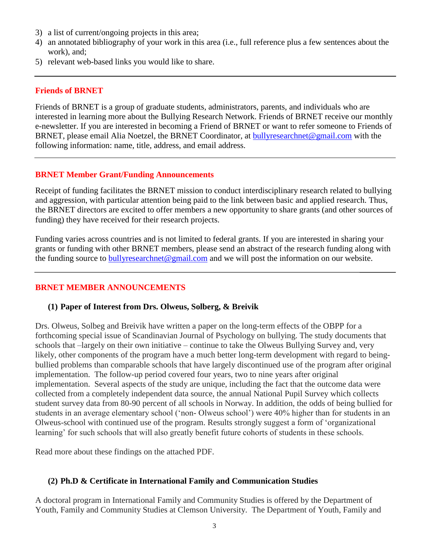- 3) a list of current/ongoing projects in this area;
- 4) an annotated bibliography of your work in this area (i.e., full reference plus a few sentences about the work), and;
- 5) relevant web-based links you would like to share.

#### **Friends of BRNET**

Friends of BRNET is a group of graduate students, administrators, parents, and individuals who are interested in learning more about the Bullying Research Network. Friends of BRNET receive our monthly e-newsletter. If you are interested in becoming a Friend of BRNET or want to refer someone to Friends of BRNET, please email Alia Noetzel, the BRNET Coordinator, at **bullyresearchnet@gmail.com** with the following information: name, title, address, and email address.

### **BRNET Member Grant/Funding Announcements**

Receipt of funding facilitates the BRNET mission to conduct interdisciplinary research related to bullying and aggression, with particular attention being paid to the link between basic and applied research. Thus, the BRNET directors are excited to offer members a new opportunity to share grants (and other sources of funding) they have received for their research projects.

Funding varies across countries and is not limited to federal grants. If you are interested in sharing your grants or funding with other BRNET members, please send an abstract of the research funding along with the funding source to [bullyresearchnet@gmail.com](mailto:bullyresearchnet@gmail.com) and we will post the information on our website.

## **BRNET MEMBER ANNOUNCEMENTS**

### **(1) Paper of Interest from Drs. Olweus, Solberg, & Breivik**

Drs. Olweus, Solbeg and Breivik have written a paper on the long-term effects of the OBPP for a forthcoming special issue of Scandinavian Journal of Psychology on bullying. The study documents that schools that –largely on their own initiative – continue to take the Olweus Bullying Survey and, very likely, other components of the program have a much better long-term development with regard to beingbullied problems than comparable schools that have largely discontinued use of the program after original implementation. The follow-up period covered four years, two to nine years after original implementation. Several aspects of the study are unique, including the fact that the outcome data were collected from a completely independent data source, the annual National Pupil Survey which collects student survey data from 80-90 percent of all schools in Norway. In addition, the odds of being bullied for students in an average elementary school ('non- Olweus school') were 40% higher than for students in an Olweus-school with continued use of the program. Results strongly suggest a form of 'organizational learning' for such schools that will also greatly benefit future cohorts of students in these schools.

Read more about these findings on the attached PDF.

### **(2) Ph.D & Certificate in International Family and Communication Studies**

A doctoral program in International Family and Community Studies is offered by the Department of Youth, Family and Community Studies at Clemson University. The Department of Youth, Family and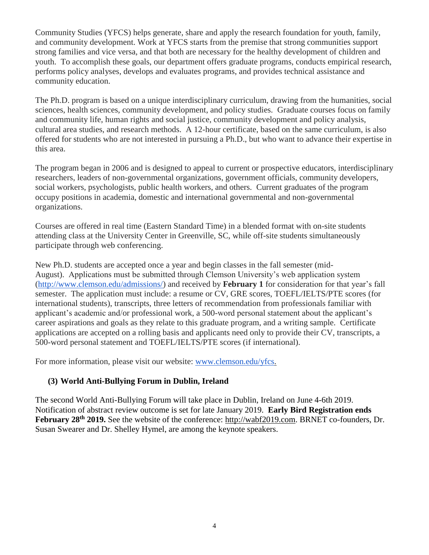Community Studies (YFCS) helps generate, share and apply the research foundation for youth, family, and community development. Work at YFCS starts from the premise that strong communities support strong families and vice versa, and that both are necessary for the healthy development of children and youth. To accomplish these goals, our department offers graduate programs, conducts empirical research, performs policy analyses, develops and evaluates programs, and provides technical assistance and community education.

The Ph.D. program is based on a unique interdisciplinary curriculum, drawing from the humanities, social sciences, health sciences, community development, and policy studies. Graduate courses focus on family and community life, human rights and social justice, community development and policy analysis, cultural area studies, and research methods. A 12-hour certificate, based on the same curriculum, is also offered for students who are not interested in pursuing a Ph.D., but who want to advance their expertise in this area.

The program began in 2006 and is designed to appeal to current or prospective educators, interdisciplinary researchers, leaders of non-governmental organizations, government officials, community developers, social workers, psychologists, public health workers, and others. Current graduates of the program occupy positions in academia, domestic and international governmental and non-governmental organizations.

Courses are offered in real time (Eastern Standard Time) in a blended format with on-site students attending class at the University Center in Greenville, SC, while off-site students simultaneously participate through web conferencing.

New Ph.D. students are accepted once a year and begin classes in the fall semester (mid-August). Applications must be submitted through Clemson University's web application system [\(http://www.clemson.edu/admissions/\)](http://www.clemson.edu/admissions/) and received by **February 1** for consideration for that year's fall semester. The application must include: a resume or CV, GRE scores, TOEFL/IELTS/PTE scores (for international students), transcripts, three letters of recommendation from professionals familiar with applicant's academic and/or professional work, a 500-word personal statement about the applicant's career aspirations and goals as they relate to this graduate program, and a writing sample. Certificate applications are accepted on a rolling basis and applicants need only to provide their CV, transcripts, a 500-word personal statement and TOEFL/IELTS/PTE scores (if international).

For more information, please visit our website: [www.clemson.edu/yfcs.](http://www.clemson.edu/yfcs)

## **(3) World Anti-Bullying Forum in Dublin, Ireland**

The second World Anti-Bullying Forum will take place in Dublin, Ireland on June 4-6th 2019. Notification of abstract review outcome is set for late January 2019. **Early Bird Registration ends February 28th 2019.** See the website of the conference: http://wabf2019.com. BRNET co-founders, Dr. Susan Swearer and Dr. Shelley Hymel, are among the keynote speakers.